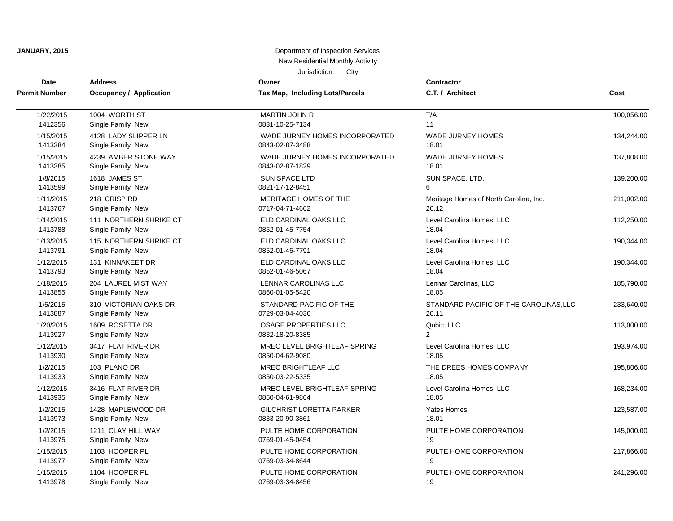| Date                 | <b>Address</b>                 | Owner                           | <b>Contractor</b>                      | Cost       |
|----------------------|--------------------------------|---------------------------------|----------------------------------------|------------|
| <b>Permit Number</b> | <b>Occupancy / Application</b> | Tax Map, Including Lots/Parcels | C.T. / Architect                       |            |
|                      |                                |                                 |                                        |            |
| 1/22/2015            | 1004 WORTH ST                  | <b>MARTIN JOHN R</b>            | T/A                                    | 100,056.00 |
| 1412356              | Single Family New              | 0831-10-25-7134                 | 11                                     |            |
| 1/15/2015            | 4128 LADY SLIPPER LN           | WADE JURNEY HOMES INCORPORATED  | <b>WADE JURNEY HOMES</b>               | 134,244.00 |
| 1413384              | Single Family New              | 0843-02-87-3488                 | 18.01                                  |            |
| 1/15/2015            | 4239 AMBER STONE WAY           | WADE JURNEY HOMES INCORPORATED  | <b>WADE JURNEY HOMES</b>               | 137,808.00 |
| 1413385              | Single Family New              | 0843-02-87-1829                 | 18.01                                  |            |
| 1/8/2015             | 1618 JAMES ST                  | <b>SUN SPACE LTD</b>            | SUN SPACE, LTD.                        | 139,200.00 |
| 1413599              | Single Family New              | 0821-17-12-8451                 | 6                                      |            |
| 1/11/2015            | 218 CRISP RD                   | MERITAGE HOMES OF THE           | Meritage Homes of North Carolina, Inc. | 211,002.00 |
| 1413767              | Single Family New              | 0717-04-71-4662                 | 20.12                                  |            |
| 1/14/2015            | 111 NORTHERN SHRIKE CT         | ELD CARDINAL OAKS LLC           | Level Carolina Homes, LLC              | 112,250.00 |
| 1413788              | Single Family New              | 0852-01-45-7754                 | 18.04                                  |            |
| 1/13/2015            | 115 NORTHERN SHRIKE CT         | ELD CARDINAL OAKS LLC           | Level Carolina Homes, LLC              | 190,344.00 |
| 1413791              | Single Family New              | 0852-01-45-7791                 | 18.04                                  |            |
| 1/12/2015            | 131 KINNAKEET DR               | ELD CARDINAL OAKS LLC           | Level Carolina Homes, LLC              | 190,344.00 |
| 1413793              | Single Family New              | 0852-01-46-5067                 | 18.04                                  |            |
| 1/18/2015            | 204 LAUREL MIST WAY            | LENNAR CAROLINAS LLC            | Lennar Carolinas, LLC                  | 185,790.00 |
| 1413855              | Single Family New              | 0860-01-05-5420                 | 18.05                                  |            |
| 1/5/2015             | 310 VICTORIAN OAKS DR          | STANDARD PACIFIC OF THE         | STANDARD PACIFIC OF THE CAROLINAS, LLC | 233,640.00 |
| 1413887              | Single Family New              | 0729-03-04-4036                 | 20.11                                  |            |
| 1/20/2015            | 1609 ROSETTA DR                | OSAGE PROPERTIES LLC            | Qubic, LLC                             | 113,000.00 |
| 1413927              | Single Family New              | 0832-18-20-8385                 | $\mathcal{P}$                          |            |
| 1/12/2015            | 3417 FLAT RIVER DR             | MREC LEVEL BRIGHTLEAF SPRING    | Level Carolina Homes, LLC              | 193,974.00 |
| 1413930              | Single Family New              | 0850-04-62-9080                 | 18.05                                  |            |
| 1/2/2015             | 103 PLANO DR                   | MREC BRIGHTLEAF LLC             | THE DREES HOMES COMPANY                | 195,806.00 |
| 1413933              | Single Family New              | 0850-03-22-5335                 | 18.05                                  |            |
| 1/12/2015            | 3416 FLAT RIVER DR             | MREC LEVEL BRIGHTLEAF SPRING    | Level Carolina Homes, LLC              | 168,234.00 |
| 1413935              | Single Family New              | 0850-04-61-9864                 | 18.05                                  |            |
| 1/2/2015             | 1428 MAPLEWOOD DR              | <b>GILCHRIST LORETTA PARKER</b> | <b>Yates Homes</b>                     | 123,587.00 |
| 1413973              | Single Family New              | 0833-20-90-3861                 | 18.01                                  |            |
| 1/2/2015             | 1211 CLAY HILL WAY             | PULTE HOME CORPORATION          | PULTE HOME CORPORATION                 | 145,000.00 |
| 1413975              | Single Family New              | 0769-01-45-0454                 | 19                                     |            |
| 1/15/2015            | 1103 HOOPER PL                 | PULTE HOME CORPORATION          | PULTE HOME CORPORATION                 | 217,866.00 |
| 1413977              | Single Family New              | 0769-03-34-8644                 | 19                                     |            |
| 1/15/2015            | 1104 HOOPER PL                 | PULTE HOME CORPORATION          | PULTE HOME CORPORATION                 | 241,296.00 |
| 1413978              | Single Family New              | 0769-03-34-8456                 | 19                                     |            |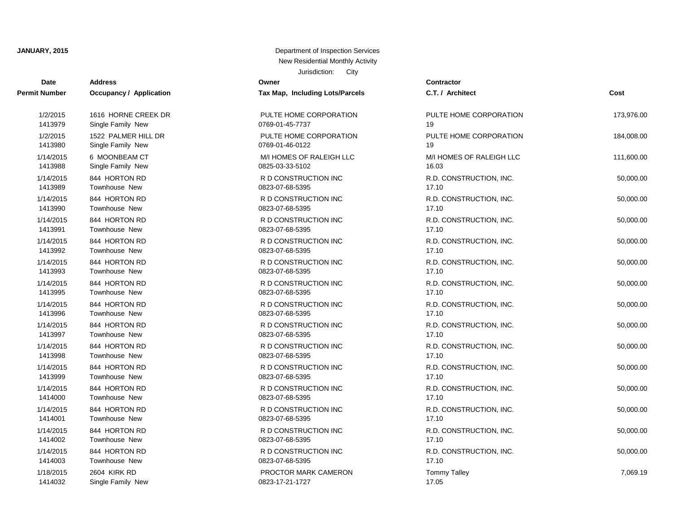| Date                 | <b>Address</b>                 | Owner                           | <b>Contractor</b>   |
|----------------------|--------------------------------|---------------------------------|---------------------|
| <b>Permit Number</b> | <b>Occupancy / Application</b> | Tax Map, Including Lots/Parcels | C.T. / Architect    |
| 1/2/2015             | 1616 HORNE CREEK DR            | PULTE HOME CORPORATION          | PULTE HOME O        |
| 1413979              | Single Family New              | 0769-01-45-7737                 | 19                  |
| 1/2/2015             | 1522 PALMER HILL DR            | PULTE HOME CORPORATION          | PULTE HOME O        |
| 1413980              | Single Family New              | 0769-01-46-0122                 | 19                  |
| 1/14/2015            | 6 MOONBEAM CT                  | M/I HOMES OF RALEIGH LLC        | M/I HOMES OF        |
| 1413988              | Single Family New              | 0825-03-33-5102                 | 16.03               |
| 1/14/2015            | 844 HORTON RD                  | R D CONSTRUCTION INC            | R.D. CONSTRU        |
| 1413989              | Townhouse New                  | 0823-07-68-5395                 | 17.10               |
| 1/14/2015            | 844 HORTON RD                  | R D CONSTRUCTION INC            | R.D. CONSTRU        |
| 1413990              | Townhouse New                  | 0823-07-68-5395                 | 17.10               |
| 1/14/2015            | 844 HORTON RD                  | R D CONSTRUCTION INC            | R.D. CONSTRU        |
| 1413991              | Townhouse New                  | 0823-07-68-5395                 | 17.10               |
| 1/14/2015            | 844 HORTON RD                  | R D CONSTRUCTION INC            | R.D. CONSTRU        |
| 1413992              | Townhouse New                  | 0823-07-68-5395                 | 17.10               |
| 1/14/2015            | 844 HORTON RD                  | R D CONSTRUCTION INC            | R.D. CONSTRU        |
| 1413993              | <b>Townhouse New</b>           | 0823-07-68-5395                 | 17.10               |
| 1/14/2015            | 844 HORTON RD                  | R D CONSTRUCTION INC            | R.D. CONSTRU        |
| 1413995              | Townhouse New                  | 0823-07-68-5395                 | 17.10               |
| 1/14/2015            | 844 HORTON RD                  | R D CONSTRUCTION INC            | R.D. CONSTRU        |
| 1413996              | Townhouse New                  | 0823-07-68-5395                 | 17.10               |
| 1/14/2015            | 844 HORTON RD                  | R D CONSTRUCTION INC            | R.D. CONSTRU        |
| 1413997              | Townhouse New                  | 0823-07-68-5395                 | 17.10               |
| 1/14/2015            | 844 HORTON RD                  | R D CONSTRUCTION INC            | R.D. CONSTRU        |
| 1413998              | Townhouse New                  | 0823-07-68-5395                 | 17.10               |
| 1/14/2015            | 844 HORTON RD                  | R D CONSTRUCTION INC            | R.D. CONSTRU        |
| 1413999              | <b>Townhouse New</b>           | 0823-07-68-5395                 | 17.10               |
| 1/14/2015            | 844 HORTON RD                  | R D CONSTRUCTION INC            | R.D. CONSTRU        |
| 1414000              | Townhouse New                  | 0823-07-68-5395                 | 17.10               |
| 1/14/2015            | 844 HORTON RD                  | R D CONSTRUCTION INC            | R.D. CONSTRU        |
| 1414001              | Townhouse New                  | 0823-07-68-5395                 | 17.10               |
| 1/14/2015            | 844 HORTON RD                  | R D CONSTRUCTION INC            | R.D. CONSTRU        |
| 1414002              | Townhouse New                  | 0823-07-68-5395                 | 17.10               |
| 1/14/2015            | 844 HORTON RD                  | R D CONSTRUCTION INC            | R.D. CONSTRU        |
| 1414003              | Townhouse New                  | 0823-07-68-5395                 | 17.10               |
| 1/18/2015            | <b>2604 KIRK RD</b>            | PROCTOR MARK CAMERON            | <b>Tommy Talley</b> |
| 1414032              | Single Family New              | 0823 17-21-1727                 | 17.05               |

| mber  | Occupancy / Application | Tax Map, Including Lots/Parcels | C.T.          |
|-------|-------------------------|---------------------------------|---------------|
| 2015  | 1616 HORNE CREEK DR     | PULTE HOME CORPORATION          | <b>PULT</b>   |
| 3979  | Single Family New       | 0769-01-45-7737                 | 19            |
| 2015  | 1522 PALMER HILL DR     | PULTE HOME CORPORATION          | <b>PULT</b>   |
| 3980  | Single Family New       | 0769-01-46-0122                 | 19            |
| /2015 | 6 MOONBEAM CT           | M/I HOMES OF RALEIGH LLC        | M/I HO        |
| 3988  | Single Family New       | 0825-03-33-5102                 | 16.03         |
| /2015 | 844 HORTON RD           | R D CONSTRUCTION INC            | R.D. 0        |
| 3989  | Townhouse New           | 0823-07-68-5395                 | 17.10         |
| /2015 | 844 HORTON RD           | R D CONSTRUCTION INC            | R.D.          |
| 3990  | Townhouse New           | 0823-07-68-5395                 | 17.10         |
| /2015 | 844 HORTON RD           | R D CONSTRUCTION INC            | <b>R.D. C</b> |
| 3991  | Townhouse New           | 0823-07-68-5395                 | 17.10         |
| /2015 | 844 HORTON RD           | R D CONSTRUCTION INC            | R.D.          |
| 3992  | Townhouse New           | 0823-07-68-5395                 | 17.10         |
| /2015 | 844 HORTON RD           | R D CONSTRUCTION INC            | R.D. 0        |
| 3993  | Townhouse New           | 0823-07-68-5395                 | 17.10         |
| /2015 | 844 HORTON RD           | R D CONSTRUCTION INC            | <b>R.D. C</b> |
| 3995  | Townhouse New           | 0823-07-68-5395                 | 17.10         |
| /2015 | 844 HORTON RD           | R D CONSTRUCTION INC            | R.D. 0        |
| 3996  | Townhouse New           | 0823-07-68-5395                 | 17.10         |
| /2015 | 844 HORTON RD           | R D CONSTRUCTION INC            | <b>R.D. C</b> |
| 3997  | Townhouse New           | 0823-07-68-5395                 | 17.10         |
| /2015 | 844 HORTON RD           | R D CONSTRUCTION INC            | R.D. 0        |
| 3998  | Townhouse New           | 0823-07-68-5395                 | 17.10         |
| /2015 | 844 HORTON RD           | R D CONSTRUCTION INC            | <b>R.D. C</b> |
| 3999  | Townhouse New           | 0823-07-68-5395                 | 17.10         |
| /2015 | 844 HORTON RD           | R D CONSTRUCTION INC            | R.D. 0        |
| 4000  | Townhouse New           | 0823-07-68-5395                 | 17.10         |
| /2015 | 844 HORTON RD           | R D CONSTRUCTION INC            | R.D. 0        |
| 4001  | Townhouse New           | 0823-07-68-5395                 | 17.10         |
| /2015 | 844 HORTON RD           | R D CONSTRUCTION INC            | R.D. 0        |
| 4002  | Townhouse New           | 0823-07-68-5395                 | 17.10         |
| /2015 | 844 HORTON RD           | R D CONSTRUCTION INC            | R.D. 0        |
| 4003  | Townhouse New           | 0823-07-68-5395                 | 17.10         |
| /2015 | <b>2604 KIRK RD</b>     | PROCTOR MARK CAMERON            | Tomm          |
| 4032  | Single Family New       | 0823-17-21-1727                 | 17.05         |

| t Number  | <b>Occupancy / Application</b> | Tax Map, Including Lots/Parcels | C.T. / Architect         | Cost       |
|-----------|--------------------------------|---------------------------------|--------------------------|------------|
| 1/2/2015  | 1616 HORNE CREEK DR            | PULTE HOME CORPORATION          | PULTE HOME CORPORATION   | 173,976.00 |
| 1413979   | Single Family New              | 0769-01-45-7737                 | 19                       |            |
| 1/2/2015  | 1522 PALMER HILL DR            | PULTE HOME CORPORATION          | PULTE HOME CORPORATION   | 184,008.00 |
| 1413980   | Single Family New              | 0769-01-46-0122                 | 19                       |            |
| 1/14/2015 | 6 MOONBEAM CT                  | M/I HOMES OF RALEIGH LLC        | M/I HOMES OF RALEIGH LLC | 111,600.00 |
| 1413988   | Single Family New              | 0825-03-33-5102                 | 16.03                    |            |
| 1/14/2015 | 844 HORTON RD                  | R D CONSTRUCTION INC            | R.D. CONSTRUCTION, INC.  | 50,000.00  |
| 1413989   | Townhouse New                  | 0823-07-68-5395                 | 17.10                    |            |
| 1/14/2015 | 844 HORTON RD                  | R D CONSTRUCTION INC            | R.D. CONSTRUCTION, INC.  | 50,000.00  |
| 1413990   | Townhouse New                  | 0823-07-68-5395                 | 17.10                    |            |
| 1/14/2015 | 844 HORTON RD                  | R D CONSTRUCTION INC            | R.D. CONSTRUCTION, INC.  | 50,000.00  |
| 1413991   | Townhouse New                  | 0823-07-68-5395                 | 17.10                    |            |
| 1/14/2015 | 844 HORTON RD                  | R D CONSTRUCTION INC            | R.D. CONSTRUCTION, INC.  | 50,000.00  |
| 1413992   | Townhouse New                  | 0823-07-68-5395                 | 17.10                    |            |
| 1/14/2015 | 844 HORTON RD                  | R D CONSTRUCTION INC            | R.D. CONSTRUCTION, INC.  | 50,000.00  |
| 1413993   | Townhouse New                  | 0823-07-68-5395                 | 17.10                    |            |
| 1/14/2015 | 844 HORTON RD                  | R D CONSTRUCTION INC            | R.D. CONSTRUCTION, INC.  | 50,000.00  |
| 1413995   | Townhouse New                  | 0823-07-68-5395                 | 17.10                    |            |
| 1/14/2015 | 844 HORTON RD                  | R D CONSTRUCTION INC            | R.D. CONSTRUCTION, INC.  | 50,000.00  |
| 1413996   | Townhouse New                  | 0823-07-68-5395                 | 17.10                    |            |
| 1/14/2015 | 844 HORTON RD                  | R D CONSTRUCTION INC            | R.D. CONSTRUCTION, INC.  | 50,000.00  |
| 1413997   | Townhouse New                  | 0823-07-68-5395                 | 17.10                    |            |
| 1/14/2015 | 844 HORTON RD                  | R D CONSTRUCTION INC            | R.D. CONSTRUCTION, INC.  | 50,000.00  |
| 1413998   | Townhouse New                  | 0823-07-68-5395                 | 17.10                    |            |
| 1/14/2015 | 844 HORTON RD                  | R D CONSTRUCTION INC            | R.D. CONSTRUCTION, INC.  | 50,000.00  |
| 1413999   | Townhouse New                  | 0823-07-68-5395                 | 17.10                    |            |
| 1/14/2015 | 844 HORTON RD                  | R D CONSTRUCTION INC            | R.D. CONSTRUCTION, INC.  | 50,000.00  |
| 1414000   | Townhouse New                  | 0823-07-68-5395                 | 17.10                    |            |
| 1/14/2015 | 844 HORTON RD                  | R D CONSTRUCTION INC            | R.D. CONSTRUCTION, INC.  | 50,000.00  |
| 1414001   | Townhouse New                  | 0823-07-68-5395                 | 17.10                    |            |
| 1/14/2015 | 844 HORTON RD                  | R D CONSTRUCTION INC            | R.D. CONSTRUCTION, INC.  | 50,000.00  |
| 1414002   | Townhouse New                  | 0823-07-68-5395                 | 17.10                    |            |
| 1/14/2015 | 844 HORTON RD                  | R D CONSTRUCTION INC            | R.D. CONSTRUCTION, INC.  | 50,000.00  |
| 1414003   | Townhouse New                  | 0823-07-68-5395                 | 17.10                    |            |
| 1/18/2015 | 2604 KIRK RD                   | PROCTOR MARK CAMERON            | <b>Tommy Talley</b>      | 7,069.19   |
| 1111000   | Cinalo Family Now              | 0000 17 01 1707                 | 170E                     |            |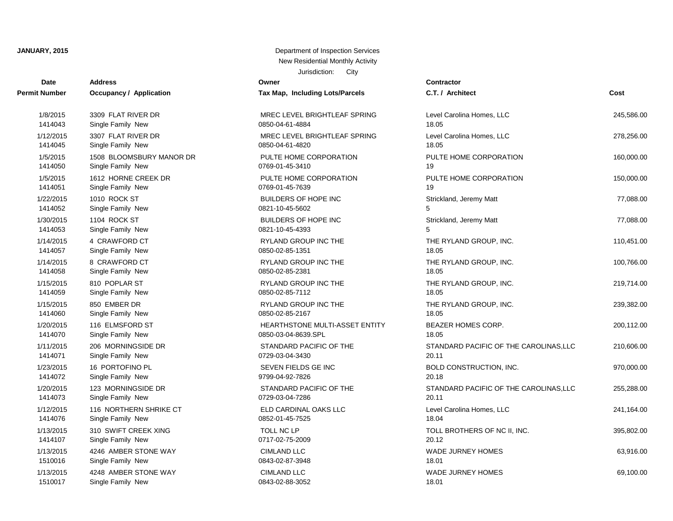**Owner** 

| Date          | <b>Address</b>                 | Owner                                 | Contractor          |
|---------------|--------------------------------|---------------------------------------|---------------------|
| Permit Number | <b>Occupancy / Application</b> | Tax Map, Including Lots/Parcels       | C.T. / Architect    |
| 1/8/2015      | 3309 FLAT RIVER DR             | MREC LEVEL BRIGHTLEAF SPRING          | Level Carolina H    |
| 1414043       | Single Family New              | 0850-04-61-4884                       | 18.05               |
| 1/12/2015     | 3307 FLAT RIVER DR             | MREC LEVEL BRIGHTLEAF SPRING          | Level Carolina H    |
| 1414045       | Single Family New              | 0850-04-61-4820                       | 18.05               |
| 1/5/2015      | 1508 BLOOMSBURY MANOR DR       | PULTE HOME CORPORATION                | PULTE HOME O        |
| 1414050       | Single Family New              | 0769-01-45-3410                       | 19                  |
| 1/5/2015      | 1612 HORNE CREEK DR            | PULTE HOME CORPORATION                | PULTE HOME O        |
| 1414051       | Single Family New              | 0769-01-45-7639                       | 19                  |
| 1/22/2015     | 1010 ROCK ST                   | <b>BUILDERS OF HOPE INC</b>           | Strickland, Jerer   |
| 1414052       | Single Family New              | 0821-10-45-5602                       | 5                   |
| 1/30/2015     | 1104 ROCK ST                   | <b>BUILDERS OF HOPE INC</b>           | Strickland, Jerer   |
| 1414053       | Single Family New              | 0821-10-45-4393                       | 5                   |
| 1/14/2015     | 4 CRAWFORD CT                  | RYLAND GROUP INC THE                  | THE RYLAND G        |
| 1414057       | Single Family New              | 0850-02-85-1351                       | 18.05               |
| 1/14/2015     | 8 CRAWFORD CT                  | RYLAND GROUP INC THE                  | THE RYLAND G        |
| 1414058       | Single Family New              | 0850-02-85-2381                       | 18.05               |
| 1/15/2015     | 810 POPLAR ST                  | RYLAND GROUP INC THE                  | THE RYLAND G        |
| 1414059       | Single Family New              | 0850-02-85-7112                       | 18.05               |
| 1/15/2015     | 850 EMBER DR                   | RYLAND GROUP INC THE                  | THE RYLAND G        |
| 1414060       | Single Family New              | 0850-02-85-2167                       | 18.05               |
| 1/20/2015     | 116 ELMSFORD ST                | <b>HEARTHSTONE MULTI-ASSET ENTITY</b> | <b>BEAZER HOME</b>  |
| 1414070       | Single Family New              | 0850-03-04-8639.SPL                   | 18.05               |
| 1/11/2015     | 206 MORNINGSIDE DR             | STANDARD PACIFIC OF THE               | <b>STANDARD PA</b>  |
| 1414071       | Single Family New              | 0729-03-04-3430                       | 20.11               |
| 1/23/2015     | 16 PORTOFINO PL                | SEVEN FIELDS GE INC                   | <b>BOLD CONSTR</b>  |
| 1414072       | Single Family New              | 9799-04-92-7826                       | 20.18               |
| 1/20/2015     | 123 MORNINGSIDE DR             | STANDARD PACIFIC OF THE               | <b>STANDARD PA</b>  |
| 1414073       | Single Family New              | 0729-03-04-7286                       | 20.11               |
| 1/12/2015     | 116 NORTHERN SHRIKE CT         | ELD CARDINAL OAKS LLC                 | Level Carolina H    |
| 1414076       | Single Family New              | 0852-01-45-7525                       | 18.04               |
| 1/13/2015     | 310 SWIFT CREEK XING           | <b>TOLL NC LP</b>                     | <b>TOLL BROTHER</b> |
| 1414107       | Single Family New              | 0717-02-75-2009                       | 20.12               |
| 1/13/2015     | 4246 AMBER STONE WAY           | <b>CIMLAND LLC</b>                    | <b>WADE JURNEY</b>  |
| 1510016       | Single Family New              | 0843-02-87-3948                       | 18.01               |
| 1/13/2015     | 4248 AMBER STONE WAY           | <b>CIMLAND LLC</b>                    | <b>WADE JURNEY</b>  |
| 1510017       | Single Family New              | 0843-02-88-3052                       | 18.01               |

| ax Map, Including Lots/Parcels                              |
|-------------------------------------------------------------|
| IREC LEVEL BRIGHTLEAF SPRING<br>350-04-61-4884              |
| IREC LEVEL BRIGHTLEAF SPRING<br>350-04-61-4820              |
| ULTE HOME CORPORATION<br>769-01-45-3410                     |
| ULTE HOME CORPORATION<br>769-01-45-7639                     |
| UILDERS OF HOPE INC<br>321-10-45-5602                       |
| <b>UILDERS OF HOPE INC</b><br>321-10-45-4393                |
| YLAND GROUP INC THE!<br>350-02-85-1351                      |
| YLAND GROUP INC THE!<br>350-02-85-2381                      |
| YLAND GROUP INC THE!<br>850-02-85-7112                      |
| YLAND GROUP INC THE<br>350-02-85-2167                       |
| <b>IEARTHSTONE MULTI-ASSET ENTITY</b><br>350-03-04-8639.SPL |
| TANDARD PACIFIC OF THE<br>729-03-04-3430                    |
| EVEN FIELDS GE INC<br>799-04-92-7826                        |
| TANDARD PACIFIC OF THE<br>729-03-04-7286                    |
| LD CARDINAL OAKS LLC<br>352-01-45-7525                      |
| OLL NC LP<br>717-02-75-2009                                 |
| <b>IMLAND LLC</b><br>343-02-87-3948                         |
| <b>IMLAND LLC</b><br>ראחר פפ רח רגנ                         |

| : Number  | Occupancy / Application  | Tax Map, Including Lots/Parcels | C.T. / Architect                       | Cost       |
|-----------|--------------------------|---------------------------------|----------------------------------------|------------|
| 1/8/2015  | 3309 FLAT RIVER DR       | MREC LEVEL BRIGHTLEAF SPRING    | Level Carolina Homes, LLC              | 245,586.00 |
| 1414043   | Single Family New        | 0850-04-61-4884                 | 18.05                                  |            |
| 1/12/2015 | 3307 FLAT RIVER DR       | MREC LEVEL BRIGHTLEAF SPRING    | Level Carolina Homes, LLC              | 278,256.00 |
| 1414045   | Single Family New        | 0850-04-61-4820                 | 18.05                                  |            |
| 1/5/2015  | 1508 BLOOMSBURY MANOR DR | PULTE HOME CORPORATION          | PULTE HOME CORPORATION                 | 160,000.00 |
| 1414050   | Single Family New        | 0769-01-45-3410                 | 19                                     |            |
| 1/5/2015  | 1612 HORNE CREEK DR      | PULTE HOME CORPORATION          | PULTE HOME CORPORATION                 | 150,000.00 |
| 1414051   | Single Family New        | 0769-01-45-7639                 | 19                                     |            |
| 1/22/2015 | 1010 ROCK ST             | <b>BUILDERS OF HOPE INC</b>     | Strickland, Jeremy Matt                | 77,088.00  |
| 1414052   | Single Family New        | 0821-10-45-5602                 | 5                                      |            |
| 1/30/2015 | 1104 ROCK ST             | <b>BUILDERS OF HOPE INC</b>     | Strickland, Jeremy Matt                | 77,088.00  |
| 1414053   | Single Family New        | 0821-10-45-4393                 | 5                                      |            |
| 1/14/2015 | 4 CRAWFORD CT            | RYLAND GROUP INC THE            | THE RYLAND GROUP, INC.                 | 110,451.00 |
| 1414057   | Single Family New        | 0850-02-85-1351                 | 18.05                                  |            |
| 1/14/2015 | 8 CRAWFORD CT            | RYLAND GROUP INC THE            | THE RYLAND GROUP, INC.                 | 100,766.00 |
| 1414058   | Single Family New        | 0850-02-85-2381                 | 18.05                                  |            |
| 1/15/2015 | 810 POPLAR ST            | RYLAND GROUP INC THE            | THE RYLAND GROUP, INC.                 | 219,714.00 |
| 1414059   | Single Family New        | 0850-02-85-7112                 | 18.05                                  |            |
| 1/15/2015 | 850 EMBER DR             | RYLAND GROUP INC THE            | THE RYLAND GROUP, INC.                 | 239,382.00 |
| 1414060   | Single Family New        | 0850-02-85-2167                 | 18.05                                  |            |
| 1/20/2015 | 116 ELMSFORD ST          | HEARTHSTONE MULTI-ASSET ENTITY  | BEAZER HOMES CORP.                     | 200,112.00 |
| 1414070   | Single Family New        | 0850-03-04-8639.SPL             | 18.05                                  |            |
| 1/11/2015 | 206 MORNINGSIDE DR       | STANDARD PACIFIC OF THE         | STANDARD PACIFIC OF THE CAROLINAS, LLC | 210,606.00 |
| 1414071   | Single Family New        | 0729-03-04-3430                 | 20.11                                  |            |
| 1/23/2015 | 16 PORTOFINO PL          | SEVEN FIELDS GE INC             | BOLD CONSTRUCTION, INC.                | 970,000.00 |
| 1414072   | Single Family New        | 9799-04-92-7826                 | 20.18                                  |            |
| 1/20/2015 | 123 MORNINGSIDE DR       | STANDARD PACIFIC OF THE         | STANDARD PACIFIC OF THE CAROLINAS, LLC | 255,288.00 |
| 1414073   | Single Family New        | 0729-03-04-7286                 | 20.11                                  |            |
| 1/12/2015 | 116 NORTHERN SHRIKE CT   | ELD CARDINAL OAKS LLC           | Level Carolina Homes, LLC              | 241,164.00 |
| 1414076   | Single Family New        | 0852-01-45-7525                 | 18.04                                  |            |
| 1/13/2015 | 310 SWIFT CREEK XING     | TOLL NC LP                      | TOLL BROTHERS OF NC II, INC.           | 395,802.00 |
| 1414107   | Single Family New        | 0717-02-75-2009                 | 20.12                                  |            |
| 1/13/2015 | 4246 AMBER STONE WAY     | <b>CIMLAND LLC</b>              | <b>WADE JURNEY HOMES</b>               | 63,916.00  |
| 1510016   | Single Family New        | 0843-02-87-3948                 | 18.01                                  |            |
| 1/13/2015 | 4248 AMBER STONE WAY     | <b>CIMLAND LLC</b>              | <b>WADE JURNEY HOMES</b>               | 69,100.00  |
| 1510017   | Single Family, New       | 0843-02-88-3052                 | 18.01                                  |            |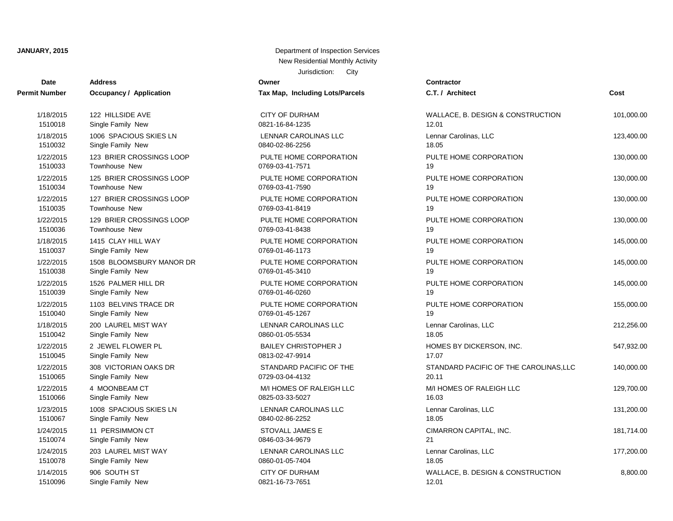# Jurisdiction: City New Residential Monthly Activity

| Date                 | <b>Address</b>                 | Owner                           | Contractor      |
|----------------------|--------------------------------|---------------------------------|-----------------|
| <b>Permit Number</b> | <b>Occupancy / Application</b> | Tax Map, Including Lots/Parcels | C.T. / Arch     |
| 1/18/2015            | 122 HILLSIDE AVE               | <b>CITY OF DURHAM</b>           | WALLACE,        |
| 1510018              | Single Family New              | 0821-16-84-1235                 | 12.01           |
| 1/18/2015            | 1006 SPACIOUS SKIES LN         | LENNAR CAROLINAS LLC            | Lennar Car      |
| 1510032              | Single Family New              | 0840-02-86-2256                 | 18.05           |
| 1/22/2015            | 123 BRIER CROSSINGS LOOP       | PULTE HOME CORPORATION          | PULTE HO        |
| 1510033              | Townhouse New                  | 0769-03-41-7571                 | 19              |
| 1/22/2015            | 125 BRIER CROSSINGS LOOP       | PULTE HOME CORPORATION          | PULTE HO        |
| 1510034              | Townhouse New                  | 0769-03-41-7590                 | 19              |
| 1/22/2015            | 127 BRIER CROSSINGS LOOP       | PULTE HOME CORPORATION          | PULTE HO        |
| 1510035              | Townhouse New                  | 0769-03-41-8419                 | 19              |
| 1/22/2015            | 129 BRIER CROSSINGS LOOP       | PULTE HOME CORPORATION          | PULTE HO        |
| 1510036              | <b>Townhouse New</b>           | 0769-03-41-8438                 | 19              |
| 1/18/2015            | 1415 CLAY HILL WAY             | PULTE HOME CORPORATION          | PULTE HO        |
| 1510037              | Single Family New              | 0769-01-46-1173                 | 19              |
| 1/22/2015            | 1508 BLOOMSBURY MANOR DR       | PULTE HOME CORPORATION          | PULTE HO        |
| 1510038              | Single Family New              | 0769-01-45-3410                 | 19              |
| 1/22/2015            | 1526 PALMER HILL DR            | PULTE HOME CORPORATION          | PULTE HO        |
| 1510039              | Single Family New              | 0769-01-46-0260                 | 19              |
| 1/22/2015            | 1103 BELVINS TRACE DR          | PULTE HOME CORPORATION          | PULTE HO        |
| 1510040              | Single Family New              | 0769-01-45-1267                 | 19              |
| 1/18/2015            | 200 LAUREL MIST WAY            | LENNAR CAROLINAS LLC            | Lennar Car      |
| 1510042              | Single Family New              | 0860-01-05-5534                 | 18.05           |
| 1/22/2015            | 2 JEWEL FLOWER PL              | <b>BAILEY CHRISTOPHER J</b>     | <b>HOMES BY</b> |
| 1510045              | Single Family New              | 0813-02-47-9914                 | 17.07           |
| 1/22/2015            | 308 VICTORIAN OAKS DR          | STANDARD PACIFIC OF THE         | <b>STANDARI</b> |
| 1510065              | Single Family New              | 0729-03-04-4132                 | 20.11           |
| 1/22/2015            | 4 MOONBEAM CT                  | M/I HOMES OF RALEIGH LLC        | M/I HOMES       |
| 1510066              | Single Family New              | 0825-03-33-5027                 | 16.03           |
| 1/23/2015            | 1008 SPACIOUS SKIES LN         | LENNAR CAROLINAS LLC            | Lennar Car      |
| 1510067              | Single Family New              | 0840-02-86-2252                 | 18.05           |
| 1/24/2015            | 11 PERSIMMON CT                | STOVALL JAMES E                 | <b>CIMARRON</b> |
| 1510074              | Single Family New              | 0846-03-34-9679                 | 21              |
| 1/24/2015            | 203 LAUREL MIST WAY            | LENNAR CAROLINAS LLC            | Lennar Car      |
| 1510078              | Single Family New              | 0860-01-05-7404                 | 18.05           |
| 1/14/2015            | 906 SOUTH ST                   | <b>CITY OF DURHAM</b>           | WALLACE,        |
| 1510096              | Single Family New              | 0821-16-73-7651                 | 12.01           |

**JANUARY, 2015** Department of Inspection Services

| t Number  | <b>Occupancy / Application</b> | <b>Tax Map, Including Lots/Parcels</b> | C.T. / Architect                       | Cost       |
|-----------|--------------------------------|----------------------------------------|----------------------------------------|------------|
| 1/18/2015 | 122 HILLSIDE AVE               | <b>CITY OF DURHAM</b>                  | WALLACE, B. DESIGN & CONSTRUCTION      | 101,000.00 |
| 1510018   | Single Family New              | 0821-16-84-1235                        | 12.01                                  |            |
| 1/18/2015 | 1006 SPACIOUS SKIES LN         | LENNAR CAROLINAS LLC                   | Lennar Carolinas, LLC                  | 123,400.00 |
| 1510032   | Single Family New              | 0840-02-86-2256                        | 18.05                                  |            |
| 1/22/2015 | 123 BRIER CROSSINGS LOOP       | PULTE HOME CORPORATION                 | PULTE HOME CORPORATION                 | 130,000.00 |
| 1510033   | Townhouse New                  | 0769-03-41-7571                        | 19                                     |            |
| 1/22/2015 | 125 BRIER CROSSINGS LOOP       | PULTE HOME CORPORATION                 | PULTE HOME CORPORATION                 | 130,000.00 |
| 1510034   | Townhouse New                  | 0769-03-41-7590                        | 19                                     |            |
| 1/22/2015 | 127 BRIER CROSSINGS LOOP       | PULTE HOME CORPORATION                 | PULTE HOME CORPORATION                 | 130,000.00 |
| 1510035   | Townhouse New                  | 0769-03-41-8419                        | 19                                     |            |
| 1/22/2015 | 129 BRIER CROSSINGS LOOP       | PULTE HOME CORPORATION                 | PULTE HOME CORPORATION                 | 130,000.00 |
| 1510036   | Townhouse New                  | 0769-03-41-8438                        | 19                                     |            |
| 1/18/2015 | 1415 CLAY HILL WAY             | PULTE HOME CORPORATION                 | PULTE HOME CORPORATION                 | 145,000.00 |
| 1510037   | Single Family New              | 0769-01-46-1173                        | 19                                     |            |
| 1/22/2015 | 1508 BLOOMSBURY MANOR DR       | PULTE HOME CORPORATION                 | PULTE HOME CORPORATION                 | 145,000.00 |
| 1510038   | Single Family New              | 0769-01-45-3410                        | 19                                     |            |
| 1/22/2015 | 1526 PALMER HILL DR            | PULTE HOME CORPORATION                 | PULTE HOME CORPORATION                 | 145,000.00 |
| 1510039   | Single Family New              | 0769-01-46-0260                        | 19                                     |            |
| 1/22/2015 | 1103 BELVINS TRACE DR          | PULTE HOME CORPORATION                 | PULTE HOME CORPORATION                 | 155,000.00 |
| 1510040   | Single Family New              | 0769-01-45-1267                        | 19                                     |            |
| 1/18/2015 | 200 LAUREL MIST WAY            | LENNAR CAROLINAS LLC                   | Lennar Carolinas, LLC                  | 212,256.00 |
| 1510042   | Single Family New              | 0860-01-05-5534                        | 18.05                                  |            |
| 1/22/2015 | 2 JEWEL FLOWER PL              | <b>BAILEY CHRISTOPHER J</b>            | HOMES BY DICKERSON, INC.               | 547,932.00 |
| 1510045   | Single Family New              | 0813-02-47-9914                        | 17.07                                  |            |
| 1/22/2015 | 308 VICTORIAN OAKS DR          | STANDARD PACIFIC OF THE                | STANDARD PACIFIC OF THE CAROLINAS, LLC | 140,000.00 |
| 1510065   | Single Family New              | 0729-03-04-4132                        | 20.11                                  |            |
| 1/22/2015 | 4 MOONBEAM CT                  | M/I HOMES OF RALEIGH LLC               | M/I HOMES OF RALEIGH LLC               | 129,700.00 |
| 1510066   | Single Family New              | 0825-03-33-5027                        | 16.03                                  |            |
| 1/23/2015 | 1008 SPACIOUS SKIES LN         | LENNAR CAROLINAS LLC                   | Lennar Carolinas, LLC                  | 131,200.00 |
| 1510067   | Single Family New              | 0840-02-86-2252                        | 18.05                                  |            |
| 1/24/2015 | 11 PERSIMMON CT                | STOVALL JAMES E                        | CIMARRON CAPITAL, INC.                 | 181,714.00 |
| 1510074   | Single Family New              | 0846-03-34-9679                        | 21                                     |            |
| 1/24/2015 | 203 LAUREL MIST WAY            | LENNAR CAROLINAS LLC                   | Lennar Carolinas, LLC                  | 177,200.00 |
| 1510078   | Single Family New              | 0860-01-05-7404                        | 18.05                                  |            |
| 1/14/2015 | 906 SOUTH ST                   | <b>CITY OF DURHAM</b>                  | WALLACE, B. DESIGN & CONSTRUCTION      | 8,800.00   |
| 1510096   | Single Family New              | 0821-16-73-7651                        | 12.01                                  |            |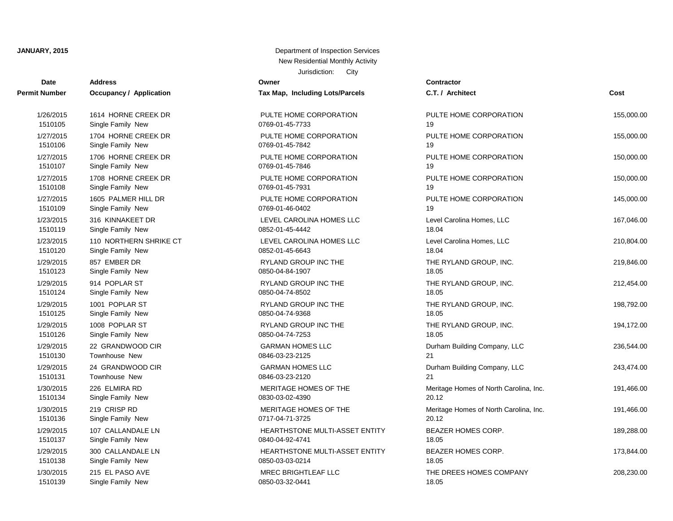| Date                 | <b>Address</b>          | Owner                           | <b>Contractor</b>  |
|----------------------|-------------------------|---------------------------------|--------------------|
| <b>Permit Number</b> | Occupancy / Application | Tax Map, Including Lots/Parcels | C.T. / Architect   |
| 1/26/2015            | 1614 HORNE CREEK DR     | PULTE HOME CORPORATION          | PULTE HOME O       |
| 1510105              | Single Family New       | 0769-01-45-7733                 | 19                 |
| 1/27/2015            | 1704 HORNE CREEK DR     | PULTE HOME CORPORATION          | PULTE HOME O       |
| 1510106              | Single Family New       | 0769-01-45-7842                 | 19                 |
| 1/27/2015            | 1706 HORNE CREEK DR     | PULTE HOME CORPORATION          | PULTE HOME O       |
| 1510107              | Single Family New       | 0769-01-45-7846                 | 19                 |
| 1/27/2015            | 1708 HORNE CREEK DR     | PULTE HOME CORPORATION          | PULTE HOME O       |
| 1510108              | Single Family New       | 0769-01-45-7931                 | 19                 |
| 1/27/2015            | 1605 PALMER HILL DR     | PULTE HOME CORPORATION          | PULTE HOME O       |
| 1510109              | Single Family New       | 0769-01-46-0402                 | 19                 |
| 1/23/2015            | 316 KINNAKEET DR        | LEVEL CAROLINA HOMES LLC        | Level Carolina H   |
| 1510119              | Single Family New       | 0852-01-45-4442                 | 18.04              |
| 1/23/2015            | 110 NORTHERN SHRIKE CT  | LEVEL CAROLINA HOMES LLC        | Level Carolina H   |
| 1510120              | Single Family New       | 0852-01-45-6643                 | 18.04              |
| 1/29/2015            | 857 EMBER DR            | RYLAND GROUP INC THE            | THE RYLAND G       |
| 1510123              | Single Family New       | 0850-04-84-1907                 | 18.05              |
| 1/29/2015            | 914 POPLAR ST           | RYLAND GROUP INC THE            | THE RYLAND G       |
| 1510124              | Single Family New       | 0850-04-74-8502                 | 18.05              |
| 1/29/2015            | 1001 POPLAR ST          | RYLAND GROUP INC THE            | THE RYLAND G       |
| 1510125              | Single Family New       | 0850-04-74-9368                 | 18.05              |
| 1/29/2015            | 1008 POPLAR ST          | RYLAND GROUP INC THE            | THE RYLAND G       |
| 1510126              | Single Family New       | 0850-04-74-7253                 | 18.05              |
| 1/29/2015            | 22 GRANDWOOD CIR        | <b>GARMAN HOMES LLC</b>         | Durham Building    |
| 1510130              | Townhouse New           | 0846-03-23-2125                 | 21                 |
| 1/29/2015            | 24 GRANDWOOD CIR        | <b>GARMAN HOMES LLC</b>         | Durham Building    |
| 1510131              | Townhouse New           | 0846-03-23-2120                 | 21                 |
| 1/30/2015            | 226 ELMIRA RD           | MERITAGE HOMES OF THE           | Meritage Homes     |
| 1510134              | Single Family New       | 0830-03-02-4390                 | 20.12              |
| 1/30/2015            | 219 CRISP RD            | MERITAGE HOMES OF THE           | Meritage Homes     |
| 1510136              | Single Family New       | 0717-04-71-3725                 | 20.12              |
| 1/29/2015            | 107 CALLANDALE LN       | HEARTHSTONE MULTI-ASSET ENTITY  | <b>BEAZER HOME</b> |
| 1510137              | Single Family New       | 0840-04-92-4741                 | 18.05              |
| 1/29/2015            | 300 CALLANDALE LN       | HEARTHSTONE MULTI-ASSET ENTITY  | <b>BEAZER HOME</b> |
| 1510138              | Single Family New       | 0850-03-03-0214                 | 18.05              |
| 1/30/2015            | 215 EL PASO AVE         | <b>MREC BRIGHTLEAF LLC</b>      | THE DREES HO       |
| 1510139              | Single Family New       | 0850-03-32-0441                 | 18.05              |

| ax Map, Including Lots/Parcels                   |
|--------------------------------------------------|
| PULTE HOME CORPORATION<br>769-01-45-7733         |
| PULTE HOME CORPORATION<br>769-01-45-7842         |
| PULTE HOME CORPORATION<br>769-01-45-7846         |
| PULTE HOME CORPORATION<br>769-01-45-7931         |
| PULTE HOME CORPORATION<br>769-01-46-0402         |
| EVEL CAROLINA HOMES LLC.<br>852-01-45-4442       |
| EVEL CAROLINA HOMES LLC<br>852-01-45-6643        |
| RYLAND GROUP INC THE<br>850-04-84-1907           |
| <b>RYLAND GROUP INC THE</b><br>850-04-74-8502    |
| RYLAND GROUP INC THE<br>850-04-74-9368           |
| <b>RYLAND GROUP INC THE</b><br>850-04-74-7253    |
| <b>GARMAN HOMES LLC</b><br>846-03-23-2125        |
| 3ARMAN HOMES LLC<br>846-03-23-2120               |
| MERITAGE HOMES OF THE<br>830-03-02-4390          |
| MERITAGE HOMES OF THE<br>717-04-71-3725          |
| HEARTHSTONE MULTI-ASSET ENTITY<br>840-04-92-4741 |
| HEARTHSTONE MULTI-ASSET ENTITY<br>850-03-03-0214 |
| <b><i>IREC BRIGHTLEAF LLC</i></b>                |

| t Number  | <b>Occupancy / Application</b> | Tax Map, Including Lots/Parcels | C.T. / Architect                       | Cost       |
|-----------|--------------------------------|---------------------------------|----------------------------------------|------------|
| 1/26/2015 | 1614 HORNE CREEK DR            | PULTE HOME CORPORATION          | PULTE HOME CORPORATION                 | 155,000.00 |
| 1510105   | Single Family New              | 0769-01-45-7733                 | 19                                     |            |
| 1/27/2015 | 1704 HORNE CREEK DR            | PULTE HOME CORPORATION          | PULTE HOME CORPORATION                 | 155,000.00 |
| 1510106   | Single Family New              | 0769-01-45-7842                 | 19                                     |            |
| 1/27/2015 | 1706 HORNE CREEK DR            | PULTE HOME CORPORATION          | PULTE HOME CORPORATION                 | 150,000.00 |
| 1510107   | Single Family New              | 0769-01-45-7846                 | 19                                     |            |
| 1/27/2015 | 1708 HORNE CREEK DR            | PULTE HOME CORPORATION          | PULTE HOME CORPORATION                 | 150,000.00 |
| 1510108   | Single Family New              | 0769-01-45-7931                 | 19                                     |            |
| 1/27/2015 | 1605 PALMER HILL DR            | PULTE HOME CORPORATION          | PULTE HOME CORPORATION                 | 145,000.00 |
| 1510109   | Single Family New              | 0769-01-46-0402                 | 19                                     |            |
| 1/23/2015 | 316 KINNAKEET DR               | LEVEL CAROLINA HOMES LLC        | Level Carolina Homes, LLC              | 167,046.00 |
| 1510119   | Single Family New              | 0852-01-45-4442                 | 18.04                                  |            |
| 1/23/2015 | 110 NORTHERN SHRIKE CT         | LEVEL CAROLINA HOMES LLC        | Level Carolina Homes, LLC              | 210,804.00 |
| 1510120   | Single Family New              | 0852-01-45-6643                 | 18.04                                  |            |
| 1/29/2015 | 857 EMBER DR                   | RYLAND GROUP INC THE            | THE RYLAND GROUP, INC.                 | 219,846.00 |
| 1510123   | Single Family New              | 0850-04-84-1907                 | 18.05                                  |            |
| 1/29/2015 | 914 POPLAR ST                  | RYLAND GROUP INC THE            | THE RYLAND GROUP, INC.                 | 212,454.00 |
| 1510124   | Single Family New              | 0850-04-74-8502                 | 18.05                                  |            |
| 1/29/2015 | 1001 POPLAR ST                 | RYLAND GROUP INC THE            | THE RYLAND GROUP, INC.                 | 198,792.00 |
| 1510125   | Single Family New              | 0850-04-74-9368                 | 18.05                                  |            |
| 1/29/2015 | 1008 POPLAR ST                 | RYLAND GROUP INC THE            | THE RYLAND GROUP, INC.                 | 194,172.00 |
| 1510126   | Single Family New              | 0850-04-74-7253                 | 18.05                                  |            |
| 1/29/2015 | 22 GRANDWOOD CIR               | <b>GARMAN HOMES LLC</b>         | Durham Building Company, LLC           | 236,544.00 |
| 1510130   | Townhouse New                  | 0846-03-23-2125                 | 21                                     |            |
| 1/29/2015 | 24 GRANDWOOD CIR               | <b>GARMAN HOMES LLC</b>         | Durham Building Company, LLC           | 243,474.00 |
| 1510131   | Townhouse New                  | 0846-03-23-2120                 | 21                                     |            |
| 1/30/2015 | 226 ELMIRA RD                  | MERITAGE HOMES OF THE           | Meritage Homes of North Carolina, Inc. | 191,466.00 |
| 1510134   | Single Family New              | 0830-03-02-4390                 | 20.12                                  |            |
| 1/30/2015 | 219 CRISP RD                   | MERITAGE HOMES OF THE           | Meritage Homes of North Carolina, Inc. | 191,466.00 |
| 1510136   | Single Family New              | 0717-04-71-3725                 | 20.12                                  |            |
| 1/29/2015 | 107 CALLANDALE LN              | HEARTHSTONE MULTI-ASSET ENTITY  | BEAZER HOMES CORP.                     | 189,288.00 |
| 1510137   | Single Family New              | 0840-04-92-4741                 | 18.05                                  |            |
| 1/29/2015 | 300 CALLANDALE LN              | HEARTHSTONE MULTI-ASSET ENTITY  | BEAZER HOMES CORP.                     | 173,844.00 |
| 1510138   | Single Family New              | 0850-03-03-0214                 | 18.05                                  |            |
| 1/30/2015 | 215 EL PASO AVE                | <b>MREC BRIGHTLEAF LLC</b>      | THE DREES HOMES COMPANY                | 208,230.00 |